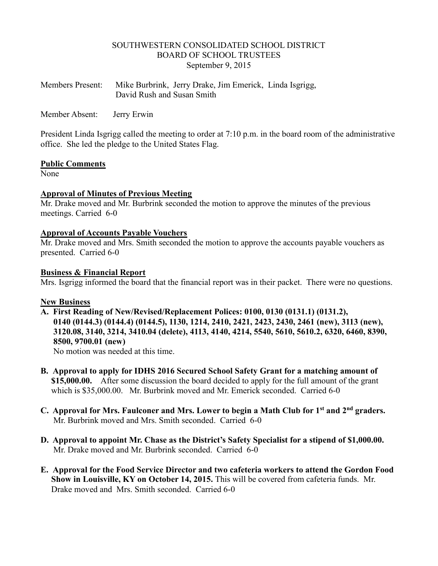#### SOUTHWESTERN CONSOLIDATED SCHOOL DISTRICT BOARD OF SCHOOL TRUSTEES September 9, 2015

| <b>Members Present:</b> | Mike Burbrink, Jerry Drake, Jim Emerick, Linda Isgrigg, |
|-------------------------|---------------------------------------------------------|
|                         | David Rush and Susan Smith                              |

Member Absent: Jerry Erwin

President Linda Isgrigg called the meeting to order at 7:10 p.m. in the board room of the administrative office. She led the pledge to the United States Flag.

#### **Public Comments**

None<sup>1</sup>

#### **Approval of Minutes of Previous Meeting**

Mr. Drake moved and Mr. Burbrink seconded the motion to approve the minutes of the previous meetings. Carried 6-0

#### **Approval of Accounts Payable Vouchers**

Mr. Drake moved and Mrs. Smith seconded the motion to approve the accounts payable vouchers as presented. Carried 6-0

#### **Business & Financial Report**

Mrs. Isgrigg informed the board that the financial report was in their packet. There were no questions.

#### **New Business**

- **A. First Reading of New/Revised/Replacement Polices: 0100, 0130 (0131.1) (0131.2), 0140 (0144.3) (0144.4) (0144.5), 1130, 1214, 2410, 2421, 2423, 2430, 2461 (new), 3113 (new), 3120.08, 3140, 3214, 3410.04 (delete), 4113, 4140, 4214, 5540, 5610, 5610.2, 6320, 6460, 8390, 8500, 9700.01 (new)** No motion was needed at this time.
- **B. Approval to apply for IDHS 2016 Secured School Safety Grant for a matching amount of \$15,000.00.** After some discussion the board decided to apply for the full amount of the grant which is \$35,000.00. Mr. Burbrink moved and Mr. Emerick seconded. Carried 6-0
- **C. Approval for Mrs. Faulconer and Mrs. Lower to begin a Math Club for 1st and 2nd graders.** Mr. Burbrink moved and Mrs. Smith seconded. Carried 6-0
- **D. Approval to appoint Mr. Chase as the District's Safety Specialist for a stipend of \$1,000.00.** Mr. Drake moved and Mr. Burbrink seconded. Carried 6-0
- **E. Approval for the Food Service Director and two cafeteria workers to attend the Gordon Food Show in Louisville, KY on October 14, 2015.** This will be covered from cafeteria funds. Mr. Drake moved and Mrs. Smith seconded. Carried 6-0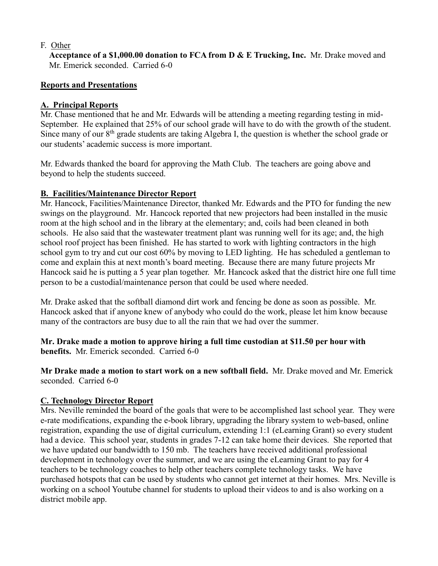## F. Other

 **Acceptance of a \$1,000.00 donation to FCA from D & E Trucking, Inc.** Mr. Drake moved and Mr. Emerick seconded. Carried 6-0

## **Reports and Presentations**

## **A. Principal Reports**

Mr. Chase mentioned that he and Mr. Edwards will be attending a meeting regarding testing in mid-September. He explained that 25% of our school grade will have to do with the growth of the student. Since many of our 8<sup>th</sup> grade students are taking Algebra I, the question is whether the school grade or our students' academic success is more important.

Mr. Edwards thanked the board for approving the Math Club. The teachers are going above and beyond to help the students succeed.

## **B. Facilities/Maintenance Director Report**

Mr. Hancock, Facilities/Maintenance Director, thanked Mr. Edwards and the PTO for funding the new swings on the playground. Mr. Hancock reported that new projectors had been installed in the music room at the high school and in the library at the elementary; and, coils had been cleaned in both schools. He also said that the wastewater treatment plant was running well for its age; and, the high school roof project has been finished. He has started to work with lighting contractors in the high school gym to try and cut our cost 60% by moving to LED lighting. He has scheduled a gentleman to come and explain this at next month's board meeting. Because there are many future projects Mr Hancock said he is putting a 5 year plan together. Mr. Hancock asked that the district hire one full time person to be a custodial/maintenance person that could be used where needed.

Mr. Drake asked that the softball diamond dirt work and fencing be done as soon as possible. Mr. Hancock asked that if anyone knew of anybody who could do the work, please let him know because many of the contractors are busy due to all the rain that we had over the summer.

**Mr. Drake made a motion to approve hiring a full time custodian at \$11.50 per hour with benefits.** Mr. Emerick seconded. Carried 6-0

**Mr Drake made a motion to start work on a new softball field.** Mr. Drake moved and Mr. Emerick seconded. Carried 6-0

# **C. Technology Director Report**

Mrs. Neville reminded the board of the goals that were to be accomplished last school year. They were e-rate modifications, expanding the e-book library, upgrading the library system to web-based, online registration, expanding the use of digital curriculum, extending 1:1 (eLearning Grant) so every student had a device. This school year, students in grades 7-12 can take home their devices. She reported that we have updated our bandwidth to 150 mb. The teachers have received additional professional development in technology over the summer, and we are using the eLearning Grant to pay for 4 teachers to be technology coaches to help other teachers complete technology tasks. We have purchased hotspots that can be used by students who cannot get internet at their homes. Mrs. Neville is working on a school Youtube channel for students to upload their videos to and is also working on a district mobile app.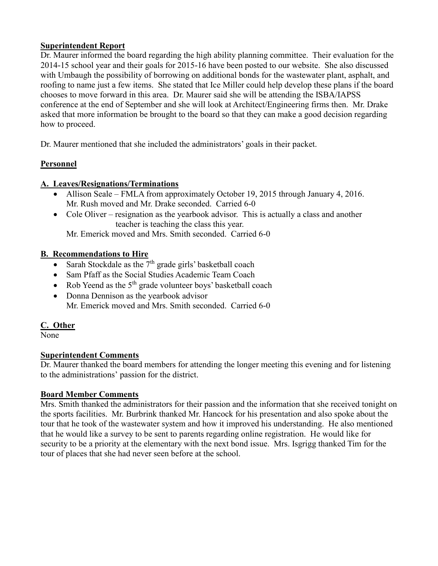### **Superintendent Report**

Dr. Maurer informed the board regarding the high ability planning committee. Their evaluation for the 2014-15 school year and their goals for 2015-16 have been posted to our website. She also discussed with Umbaugh the possibility of borrowing on additional bonds for the wastewater plant, asphalt, and roofing to name just a few items. She stated that Ice Miller could help develop these plans if the board chooses to move forward in this area. Dr. Maurer said she will be attending the ISBA/IAPSS conference at the end of September and she will look at Architect/Engineering firms then. Mr. Drake asked that more information be brought to the board so that they can make a good decision regarding how to proceed.

Dr. Maurer mentioned that she included the administrators' goals in their packet.

# **Personnel**

## **A. Leaves/Resignations/Terminations**

- Allison Seale FMLA from approximately October 19, 2015 through January 4, 2016. Mr. Rush moved and Mr. Drake seconded. Carried 6-0
- Cole Oliver resignation as the yearbook advisor. This is actually a class and another teacher is teaching the class this year.

Mr. Emerick moved and Mrs. Smith seconded. Carried 6-0

## **B. Recommendations to Hire**

- Sarah Stockdale as the  $7<sup>th</sup>$  grade girls' basketball coach
- Sam Pfaff as the Social Studies Academic Team Coach
- Rob Yeend as the  $5<sup>th</sup>$  grade volunteer boys' basketball coach
- Donna Dennison as the yearbook advisor Mr. Emerick moved and Mrs. Smith seconded. Carried 6-0

# **C. Other**

None

# **Superintendent Comments**

Dr. Maurer thanked the board members for attending the longer meeting this evening and for listening to the administrations' passion for the district.

### **Board Member Comments**

Mrs. Smith thanked the administrators for their passion and the information that she received tonight on the sports facilities. Mr. Burbrink thanked Mr. Hancock for his presentation and also spoke about the tour that he took of the wastewater system and how it improved his understanding. He also mentioned that he would like a survey to be sent to parents regarding online registration. He would like for security to be a priority at the elementary with the next bond issue. Mrs. Isgrigg thanked Tim for the tour of places that she had never seen before at the school.